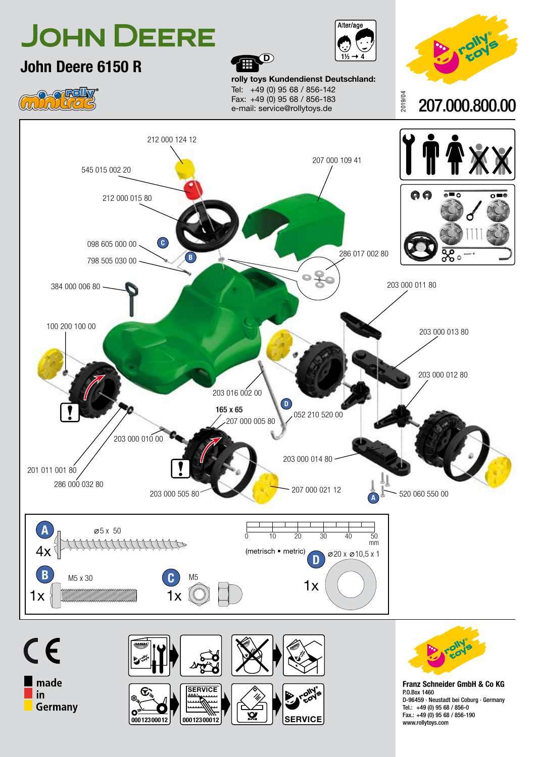





P.O.Box 1460 D-96459 · Neustadt bei Coburg · Germany Tel.: +49 (0) 95 68 / 856-0 Fax.: +49 (0) 95 68 / 856-190 www.rollytoys.com